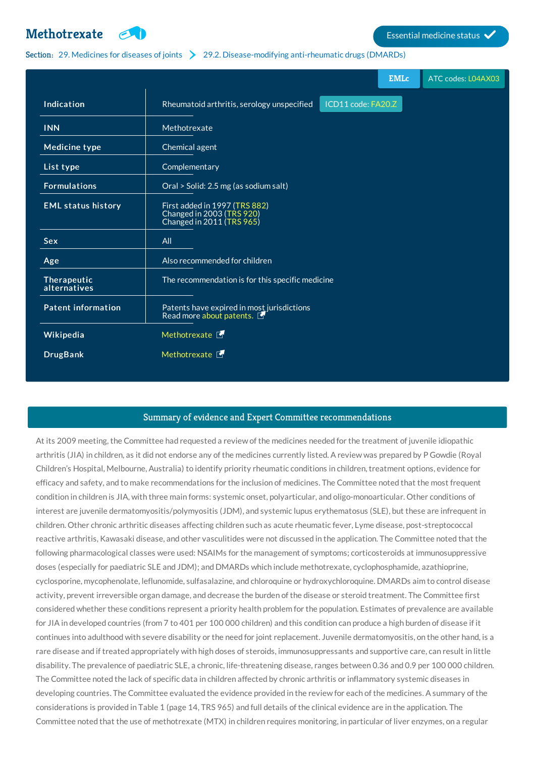

## Section: 29. [Medicines](http://list.essentialmeds.org/?section=466) for diseases of joints 29.2. [Disease-modifying](http://list.essentialmeds.org/?section=501) anti-rheumatic drugs (DMARDs)

|                             | <b>EMLc</b><br>ATC codes: L04AX03                                                       |
|-----------------------------|-----------------------------------------------------------------------------------------|
| Indication                  | ICD11 code: FA20.Z<br>Rheumatoid arthritis, serology unspecified                        |
| <b>INN</b>                  | Methotrexate                                                                            |
| <b>Medicine type</b>        | Chemical agent                                                                          |
| List type                   | Complementary                                                                           |
| <b>Formulations</b>         | Oral > Solid: 2.5 mg (as sodium salt)                                                   |
| <b>EML status history</b>   | First added in 1997 (TRS 882)<br>Changed in 2003 (TRS 920)<br>Changed in 2011 (TRS 965) |
| <b>Sex</b>                  | All                                                                                     |
| Age                         | Also recommended for children                                                           |
| Therapeutic<br>alternatives | The recommendation is for this specific medicine                                        |
| <b>Patent information</b>   | Patents have expired in most jurisdictions<br>Read more about patents.                  |
| Wikipedia                   | Methotrexate F                                                                          |
| <b>DrugBank</b>             | Methotrexate F                                                                          |

## Summary of evidence and Expert Committee recommendations

At its 2009 meeting, the Committee had requested a review of the medicines needed for the treatment of juvenile idiopathic arthritis (JIA) in children, as it did not endorse any of the medicines currently listed. A review was prepared by P Gowdie (Royal Children's Hospital, Melbourne, Australia) to identify priority rheumatic conditions in children, treatment options, evidence for efficacy and safety, and to make recommendations for the inclusion of medicines. The Committee noted that the most frequent condition in children is JIA, with three main forms: systemic onset, polyarticular, and oligo-monoarticular. Other conditions of interest are juvenile dermatomyositis/polymyositis (JDM), and systemic lupus erythematosus (SLE), but these are infrequent in children. Other chronic arthritic diseases affecting children such as acute rheumatic fever, Lyme disease, post-streptococcal reactive arthritis, Kawasaki disease, and other vasculitides were not discussed in the application. The Committee noted that the following pharmacological classes were used: NSAIMs for the management of symptoms; corticosteroids at immunosuppressive doses (especially for paediatric SLE and JDM); and DMARDs which include methotrexate, cyclophosphamide, azathioprine, cyclosporine, mycophenolate, leflunomide, sulfasalazine, and chloroquine or hydroxychloroquine. DMARDs aim to control disease activity, prevent irreversible organ damage, and decrease the burden of the disease or steroid treatment. The Committee first considered whether these conditions represent a priority health problem for the population. Estimates of prevalence are available for JIA in developed countries (from 7 to 401 per 100 000 children) and this condition can produce a high burden of disease if it continues into adulthood with severe disability or the need for joint replacement. Juvenile dermatomyositis, on the other hand, is a rare disease and if treated appropriately with high doses of steroids, immunosuppressants and supportive care, can result in little disability. The prevalence of paediatric SLE, a chronic, life-threatening disease, ranges between 0.36 and 0.9 per 100 000 children. The Committee noted the lack of specific data in children affected by chronic arthritis or inflammatory systemic diseases in developing countries. The Committee evaluated the evidence provided in the review for each of the medicines. A summary of the considerations is provided in Table 1 (page 14, TRS 965) and full details of the clinical evidence are in the application. The Committee noted that the use of methotrexate (MTX) in children requires monitoring, in particular of liver enzymes, on a regular